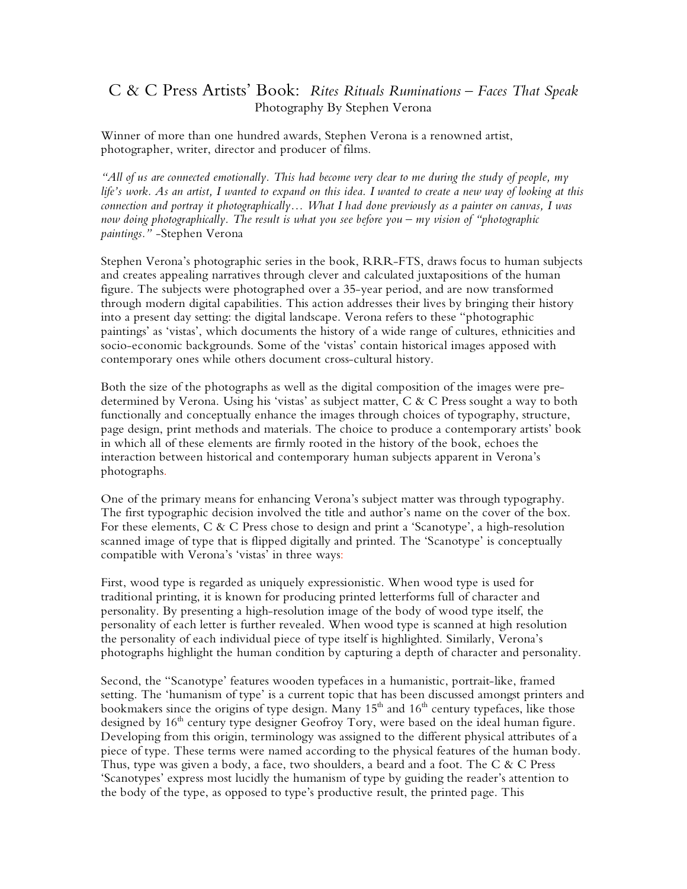## C & C Press Artists' Book: *Rites Rituals Ruminations – Faces That Speak* Photography By Stephen Verona

Winner of more than one hundred awards, Stephen Verona is a renowned artist, photographer, writer, director and producer of films.

*"All of us are connected emotionally. This had become very clear to me during the study of people, my life's work. As an artist, I wanted to expand on this idea. I wanted to create a new way of looking at this connection and portray it photographically… What I had done previously as a painter on canvas, I was now doing photographically. The result is what you see before you – my vision of "photographic paintings."* -Stephen Verona

Stephen Verona's photographic series in the book, RRR-FTS, draws focus to human subjects and creates appealing narratives through clever and calculated juxtapositions of the human figure. The subjects were photographed over a 35-year period, and are now transformed through modern digital capabilities. This action addresses their lives by bringing their history into a present day setting: the digital landscape. Verona refers to these "photographic paintings' as 'vistas', which documents the history of a wide range of cultures, ethnicities and socio-economic backgrounds. Some of the 'vistas' contain historical images apposed with contemporary ones while others document cross-cultural history.

Both the size of the photographs as well as the digital composition of the images were predetermined by Verona. Using his 'vistas' as subject matter, C & C Press sought a way to both functionally and conceptually enhance the images through choices of typography, structure, page design, print methods and materials. The choice to produce a contemporary artists' book in which all of these elements are firmly rooted in the history of the book, echoes the interaction between historical and contemporary human subjects apparent in Verona's photographs.

One of the primary means for enhancing Verona's subject matter was through typography. The first typographic decision involved the title and author's name on the cover of the box. For these elements, C & C Press chose to design and print a 'Scanotype', a high-resolution scanned image of type that is flipped digitally and printed. The 'Scanotype' is conceptually compatible with Verona's 'vistas' in three ways:

First, wood type is regarded as uniquely expressionistic. When wood type is used for traditional printing, it is known for producing printed letterforms full of character and personality. By presenting a high-resolution image of the body of wood type itself, the personality of each letter is further revealed. When wood type is scanned at high resolution the personality of each individual piece of type itself is highlighted. Similarly, Verona's photographs highlight the human condition by capturing a depth of character and personality.

Second, the "Scanotype' features wooden typefaces in a humanistic, portrait-like, framed setting. The 'humanism of type' is a current topic that has been discussed amongst printers and bookmakers since the origins of type design. Many  $15<sup>th</sup>$  and  $16<sup>th</sup>$  century typefaces, like those designed by 16<sup>th</sup> century type designer Geofroy Tory, were based on the ideal human figure. Developing from this origin, terminology was assigned to the different physical attributes of a piece of type. These terms were named according to the physical features of the human body. Thus, type was given a body, a face, two shoulders, a beard and a foot. The C & C Press 'Scanotypes' express most lucidly the humanism of type by guiding the reader's attention to the body of the type, as opposed to type's productive result, the printed page. This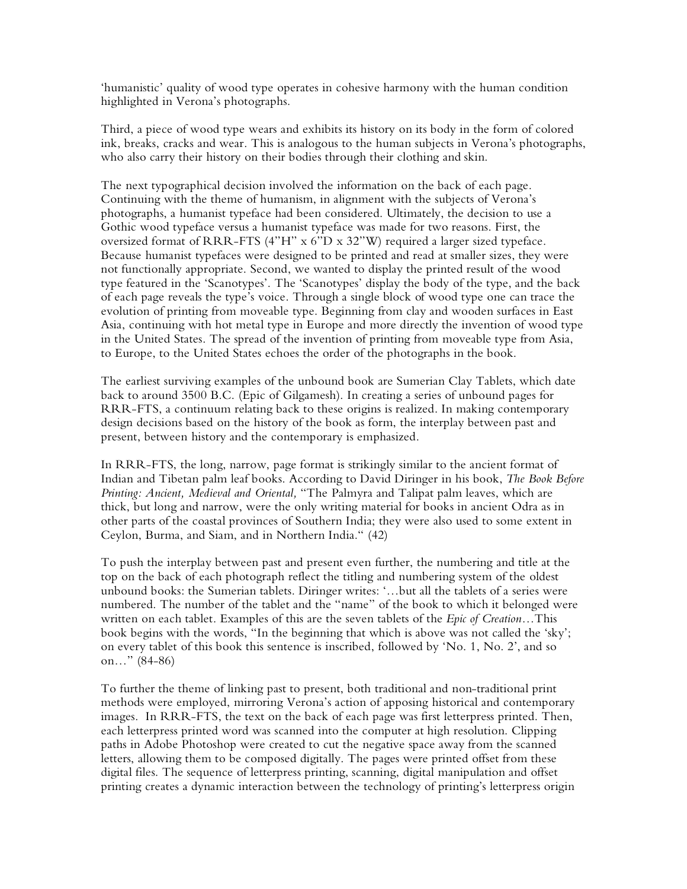'humanistic' quality of wood type operates in cohesive harmony with the human condition highlighted in Verona's photographs.

Third, a piece of wood type wears and exhibits its history on its body in the form of colored ink, breaks, cracks and wear. This is analogous to the human subjects in Verona's photographs, who also carry their history on their bodies through their clothing and skin.

The next typographical decision involved the information on the back of each page. Continuing with the theme of humanism, in alignment with the subjects of Verona's photographs, a humanist typeface had been considered. Ultimately, the decision to use a Gothic wood typeface versus a humanist typeface was made for two reasons. First, the oversized format of RRR-FTS (4"H" x 6"D x 32"W) required a larger sized typeface. Because humanist typefaces were designed to be printed and read at smaller sizes, they were not functionally appropriate. Second, we wanted to display the printed result of the wood type featured in the 'Scanotypes'. The 'Scanotypes' display the body of the type, and the back of each page reveals the type's voice. Through a single block of wood type one can trace the evolution of printing from moveable type. Beginning from clay and wooden surfaces in East Asia, continuing with hot metal type in Europe and more directly the invention of wood type in the United States. The spread of the invention of printing from moveable type from Asia, to Europe, to the United States echoes the order of the photographs in the book.

The earliest surviving examples of the unbound book are Sumerian Clay Tablets, which date back to around 3500 B.C. (Epic of Gilgamesh). In creating a series of unbound pages for RRR-FTS, a continuum relating back to these origins is realized. In making contemporary design decisions based on the history of the book as form, the interplay between past and present, between history and the contemporary is emphasized.

In RRR-FTS, the long, narrow, page format is strikingly similar to the ancient format of Indian and Tibetan palm leaf books. According to David Diringer in his book, *The Book Before Printing: Ancient, Medieval and Oriental,* "The Palmyra and Talipat palm leaves, which are thick, but long and narrow, were the only writing material for books in ancient Odra as in other parts of the coastal provinces of Southern India; they were also used to some extent in Ceylon, Burma, and Siam, and in Northern India." (42)

To push the interplay between past and present even further, the numbering and title at the top on the back of each photograph reflect the titling and numbering system of the oldest unbound books: the Sumerian tablets. Diringer writes: '…but all the tablets of a series were numbered. The number of the tablet and the "name" of the book to which it belonged were written on each tablet. Examples of this are the seven tablets of the *Epic of Creation…*This book begins with the words, "In the beginning that which is above was not called the 'sky'; on every tablet of this book this sentence is inscribed, followed by 'No. 1, No. 2', and so on…" (84-86)

To further the theme of linking past to present, both traditional and non-traditional print methods were employed, mirroring Verona's action of apposing historical and contemporary images. In RRR-FTS, the text on the back of each page was first letterpress printed. Then, each letterpress printed word was scanned into the computer at high resolution. Clipping paths in Adobe Photoshop were created to cut the negative space away from the scanned letters, allowing them to be composed digitally. The pages were printed offset from these digital files. The sequence of letterpress printing, scanning, digital manipulation and offset printing creates a dynamic interaction between the technology of printing's letterpress origin